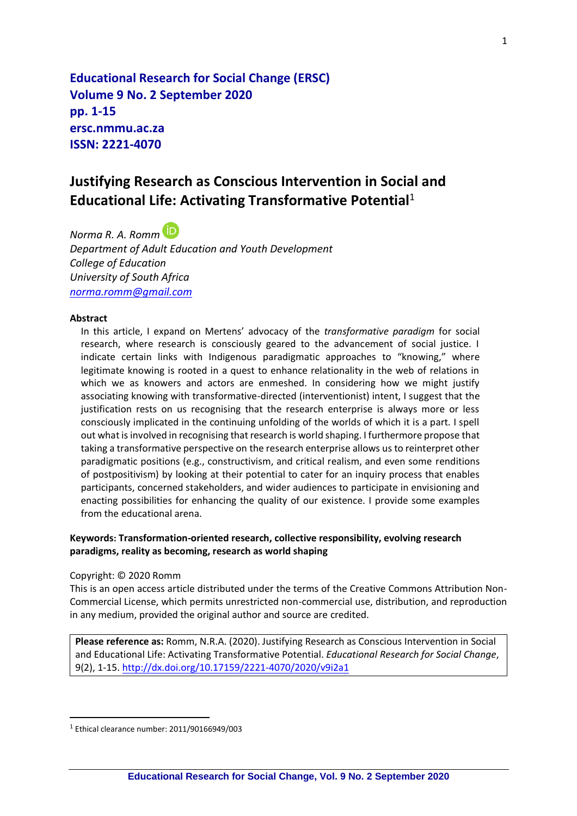**Educational Research for Social Change (ERSC) Volume 9 No. 2 September 2020 pp. 1-15 ersc.nmmu.ac.za ISSN: 2221-4070**

# **Justifying Research as Conscious Intervention in Social and Educational Life: Activating Transformative Potential**<sup>1</sup>

*Norma R. A. Romm Department of Adult Education and Youth Development College of Education University of South Africa [norma.romm@gmail.com](mailto:norma.romm@gmail.com)*

#### **Abstract**

In this article, I expand on Mertens' advocacy of the *transformative paradigm* for social research, where research is consciously geared to the advancement of social justice. I indicate certain links with Indigenous paradigmatic approaches to "knowing," where legitimate knowing is rooted in a quest to enhance relationality in the web of relations in which we as knowers and actors are enmeshed. In considering how we might justify associating knowing with transformative-directed (interventionist) intent, I suggest that the justification rests on us recognising that the research enterprise is always more or less consciously implicated in the continuing unfolding of the worlds of which it is a part. I spell out what is involved in recognising that research is world shaping. I furthermore propose that taking a transformative perspective on the research enterprise allows us to reinterpret other paradigmatic positions (e.g., constructivism, and critical realism, and even some renditions of postpositivism) by looking at their potential to cater for an inquiry process that enables participants, concerned stakeholders, and wider audiences to participate in envisioning and enacting possibilities for enhancing the quality of our existence. I provide some examples from the educational arena.

#### **Keywords: Transformation-oriented research, collective responsibility, evolving research paradigms, reality as becoming, research as world shaping**

#### Copyright: © 2020 Romm

This is an open access article distributed under the terms of the Creative Commons Attribution Non-Commercial License, which permits unrestricted non-commercial use, distribution, and reproduction in any medium, provided the original author and source are credited.

**Please reference as:** Romm, N.R.A. (2020). Justifying Research as Conscious Intervention in Social and Educational Life: Activating Transformative Potential. *Educational Research for Social Change*, 9(2), 1-15. <http://dx.doi.org/10.17159/2221-4070/2020/v9i2a1>

 $<sup>1</sup>$  Ethical clearance number: 2011/90166949/003</sup>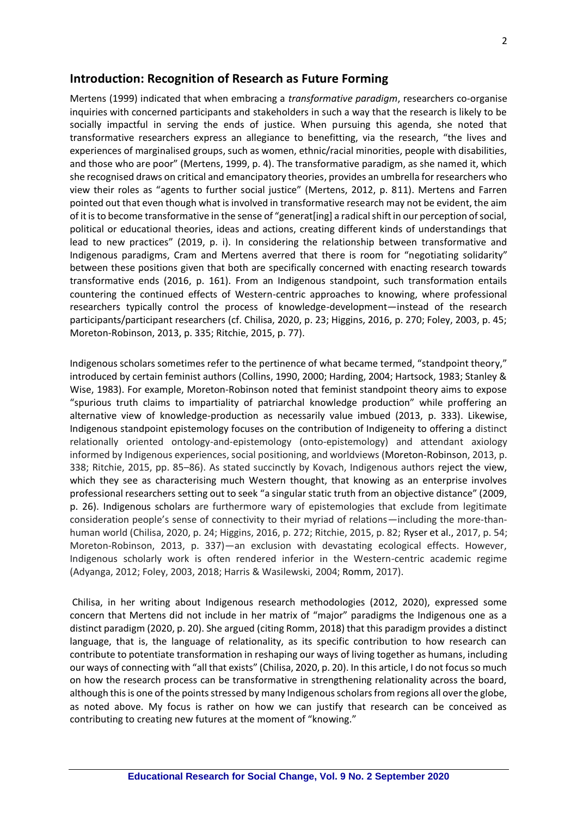### **Introduction: Recognition of Research as Future Forming**

Mertens (1999) indicated that when embracing a *transformative paradigm*, researchers co-organise inquiries with concerned participants and stakeholders in such a way that the research is likely to be socially impactful in serving the ends of justice. When pursuing this agenda, she noted that transformative researchers express an allegiance to benefitting, via the research, "the lives and experiences of marginalised groups, such as women, ethnic/racial minorities, people with disabilities, and those who are poor" (Mertens, 1999, p. 4). The transformative paradigm, as she named it, which she recognised draws on critical and emancipatory theories, provides an umbrella for researchers who view their roles as "agents to further social justice" (Mertens, 2012, p. 811). Mertens and Farren pointed out that even though what is involved in transformative research may not be evident, the aim of it is to become transformative in the sense of "generat[ing] a radical shift in our perception of social, political or educational theories, ideas and actions, creating different kinds of understandings that lead to new practices" (2019, p. i). In considering the relationship between transformative and Indigenous paradigms, Cram and Mertens averred that there is room for "negotiating solidarity" between these positions given that both are specifically concerned with enacting research towards transformative ends (2016, p. 161). From an Indigenous standpoint, such transformation entails countering the continued effects of Western-centric approaches to knowing, where professional researchers typically control the process of knowledge-development—instead of the research participants/participant researchers (cf. Chilisa, 2020, p. 23; Higgins, 2016, p. 270; Foley, 2003, p. 45; Moreton-Robinson, 2013, p. 335; Ritchie, 2015, p. 77).

Indigenous scholars sometimes refer to the pertinence of what became termed, "standpoint theory," introduced by certain feminist authors (Collins, 1990, 2000; Harding, 2004; Hartsock, 1983; Stanley & Wise, 1983). For example, Moreton-Robinson noted that feminist standpoint theory aims to expose "spurious truth claims to impartiality of patriarchal knowledge production" while proffering an alternative view of knowledge-production as necessarily value imbued (2013, p. 333). Likewise, Indigenous standpoint epistemology focuses on the contribution of Indigeneity to offering a distinct relationally oriented ontology-and-epistemology (onto-epistemology) and attendant axiology informed by Indigenous experiences, social positioning, and worldviews (Moreton-Robinson, 2013, p. 338; Ritchie, 2015, pp. 85–86). As stated succinctly by Kovach, Indigenous authors reject the view, which they see as characterising much Western thought, that knowing as an enterprise involves professional researchers setting out to seek "a singular static truth from an objective distance" (2009, p. 26). Indigenous scholars are furthermore wary of epistemologies that exclude from legitimate consideration people's sense of connectivity to their myriad of relations—including the more-thanhuman world (Chilisa, 2020, p. 24; Higgins, 2016, p. 272; Ritchie, 2015, p. 82; Ryser et al., 2017, p. 54; Moreton-Robinson, 2013, p. 337)—an exclusion with devastating ecological effects. However, Indigenous scholarly work is often rendered inferior in the Western-centric academic regime (Adyanga, 2012; Foley, 2003, 2018; Harris & Wasilewski, 2004; Romm, 2017).

Chilisa, in her writing about Indigenous research methodologies (2012, 2020), expressed some concern that Mertens did not include in her matrix of "major" paradigms the Indigenous one as a distinct paradigm (2020, p. 20). She argued (citing Romm, 2018) that this paradigm provides a distinct language, that is, the language of relationality, as its specific contribution to how research can contribute to potentiate transformation in reshaping our ways of living together as humans, including our ways of connecting with "all that exists" (Chilisa, 2020, p. 20). In this article, I do not focus so much on how the research process can be transformative in strengthening relationality across the board, although this is one of the points stressed by many Indigenous scholars from regions all over the globe, as noted above. My focus is rather on how we can justify that research can be conceived as contributing to creating new futures at the moment of "knowing."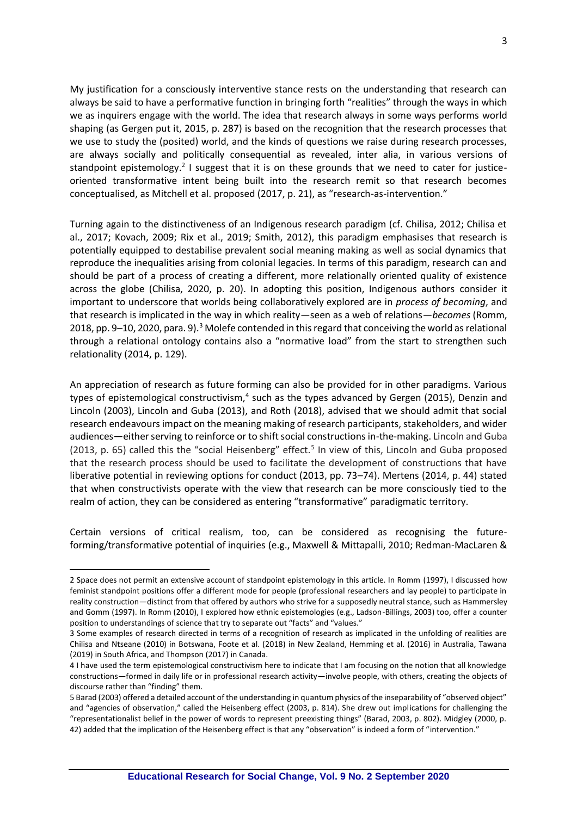My justification for a consciously interventive stance rests on the understanding that research can always be said to have a performative function in bringing forth "realities" through the ways in which we as inquirers engage with the world. The idea that research always in some ways performs world shaping (as Gergen put it, 2015, p. 287) is based on the recognition that the research processes that we use to study the (posited) world, and the kinds of questions we raise during research processes, are always socially and politically consequential as revealed, inter alia, in various versions of standpoint epistemology.<sup>2</sup> I suggest that it is on these grounds that we need to cater for justiceoriented transformative intent being built into the research remit so that research becomes conceptualised, as Mitchell et al. proposed (2017, p. 21), as "research-as-intervention."

Turning again to the distinctiveness of an Indigenous research paradigm (cf. Chilisa, 2012; Chilisa et al., 2017; Kovach, 2009; Rix et al., 2019; Smith, 2012), this paradigm emphasises that research is potentially equipped to destabilise prevalent social meaning making as well as social dynamics that reproduce the inequalities arising from colonial legacies. In terms of this paradigm, research can and should be part of a process of creating a different, more relationally oriented quality of existence across the globe (Chilisa, 2020, p. 20). In adopting this position, Indigenous authors consider it important to underscore that worlds being collaboratively explored are in *process of becoming*, and that research is implicated in the way in which reality—seen as a web of relations—*becomes* (Romm, 2018, pp. 9–10, 2020, para. 9).<sup>3</sup> Molefe contended in this regard that conceiving the world as relational through a relational ontology contains also a "normative load" from the start to strengthen such relationality (2014, p. 129).

An appreciation of research as future forming can also be provided for in other paradigms. Various types of epistemological constructivism,<sup>4</sup> such as the types advanced by Gergen (2015), Denzin and Lincoln (2003), Lincoln and Guba (2013), and Roth (2018), advised that we should admit that social research endeavours impact on the meaning making of research participants, stakeholders, and wider audiences—either serving to reinforce or to shift social constructions in-the-making. Lincoln and Guba (2013, p. 65) called this the "social Heisenberg" effect.<sup>5</sup> In view of this, Lincoln and Guba proposed that the research process should be used to facilitate the development of constructions that have liberative potential in reviewing options for conduct (2013, pp. 73–74). Mertens (2014, p. 44) stated that when constructivists operate with the view that research can be more consciously tied to the realm of action, they can be considered as entering "transformative" paradigmatic territory.

Certain versions of critical realism, too, can be considered as recognising the futureforming/transformative potential of inquiries (e.g., Maxwell & Mittapalli, 2010; Redman-MacLaren &

<sup>2</sup> Space does not permit an extensive account of standpoint epistemology in this article. In Romm (1997), I discussed how feminist standpoint positions offer a different mode for people (professional researchers and lay people) to participate in reality construction—distinct from that offered by authors who strive for a supposedly neutral stance, such as Hammersley and Gomm (1997). In Romm (2010), I explored how ethnic epistemologies (e.g., Ladson-Billings, 2003) too, offer a counter position to understandings of science that try to separate out "facts" and "values."

<sup>3</sup> Some examples of research directed in terms of a recognition of research as implicated in the unfolding of realities are Chilisa and Ntseane (2010) in Botswana, Foote et al. (2018) in New Zealand, Hemming et al. (2016) in Australia, Tawana (2019) in South Africa, and Thompson (2017) in Canada.

<sup>4</sup> I have used the term epistemological constructivism here to indicate that I am focusing on the notion that all knowledge constructions—formed in daily life or in professional research activity—involve people, with others, creating the objects of discourse rather than "finding" them.

<sup>5</sup> Barad (2003) offered a detailed account of the understanding in quantum physics of the inseparability of "observed object" and "agencies of observation," called the Heisenberg effect (2003, p. 814). She drew out implications for challenging the "representationalist belief in the power of words to represent preexisting things" (Barad, 2003, p. 802). Midgley (2000, p. 42) added that the implication of the Heisenberg effect is that any "observation" is indeed a form of "intervention."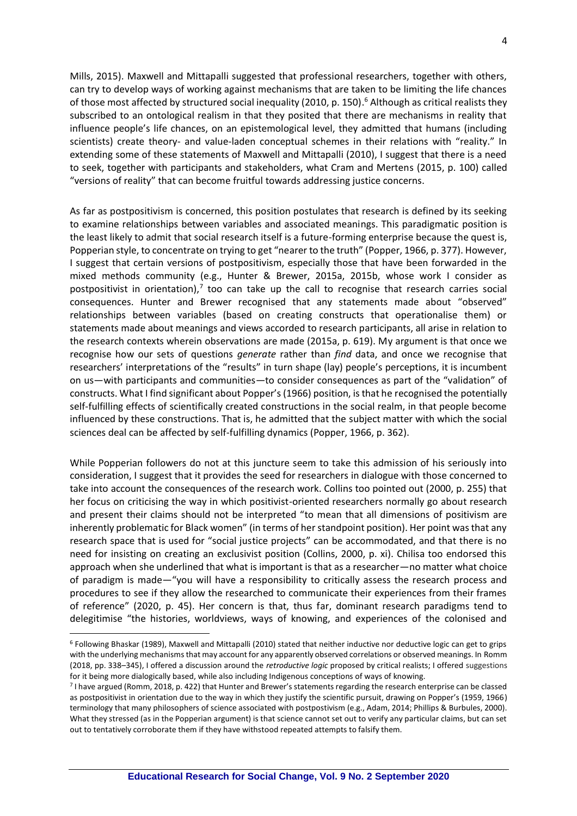4

Mills, 2015). Maxwell and Mittapalli suggested that professional researchers, together with others, can try to develop ways of working against mechanisms that are taken to be limiting the life chances of those most affected by structured social inequality (2010, p. 150). <sup>6</sup> Although as critical realists they subscribed to an ontological realism in that they posited that there are mechanisms in reality that influence people's life chances, on an epistemological level, they admitted that humans (including scientists) create theory- and value-laden conceptual schemes in their relations with "reality." In extending some of these statements of Maxwell and Mittapalli (2010), I suggest that there is a need to seek, together with participants and stakeholders, what Cram and Mertens (2015, p. 100) called "versions of reality" that can become fruitful towards addressing justice concerns.

As far as postpositivism is concerned, this position postulates that research is defined by its seeking to examine relationships between variables and associated meanings. This paradigmatic position is the least likely to admit that social research itself is a future-forming enterprise because the quest is, Popperian style, to concentrate on trying to get "nearer to the truth" (Popper, 1966, p. 377). However, I suggest that certain versions of postpositivism, especially those that have been forwarded in the mixed methods community (e.g., Hunter & Brewer, 2015a, 2015b, whose work I consider as postpositivist in orientation), $7$  too can take up the call to recognise that research carries social consequences. Hunter and Brewer recognised that any statements made about "observed" relationships between variables (based on creating constructs that operationalise them) or statements made about meanings and views accorded to research participants, all arise in relation to the research contexts wherein observations are made (2015a, p. 619). My argument is that once we recognise how our sets of questions *generate* rather than *find* data, and once we recognise that researchers' interpretations of the "results" in turn shape (lay) people's perceptions, it is incumbent on us—with participants and communities—to consider consequences as part of the "validation" of constructs. What I find significant about Popper's (1966) position, is that he recognised the potentially self-fulfilling effects of scientifically created constructions in the social realm, in that people become influenced by these constructions. That is, he admitted that the subject matter with which the social sciences deal can be affected by self-fulfilling dynamics (Popper, 1966, p. 362).

While Popperian followers do not at this juncture seem to take this admission of his seriously into consideration, I suggest that it provides the seed for researchers in dialogue with those concerned to take into account the consequences of the research work. Collins too pointed out (2000, p. 255) that her focus on criticising the way in which positivist-oriented researchers normally go about research and present their claims should not be interpreted "to mean that all dimensions of positivism are inherently problematic for Black women" (in terms of her standpoint position). Her point was that any research space that is used for "social justice projects" can be accommodated, and that there is no need for insisting on creating an exclusivist position (Collins, 2000, p. xi). Chilisa too endorsed this approach when she underlined that what is important is that as a researcher—no matter what choice of paradigm is made—"you will have a responsibility to critically assess the research process and procedures to see if they allow the researched to communicate their experiences from their frames of reference" (2020, p. 45). Her concern is that, thus far, dominant research paradigms tend to delegitimise "the histories, worldviews, ways of knowing, and experiences of the colonised and

<sup>6</sup> Following Bhaskar (1989), Maxwell and Mittapalli (2010) stated that neither inductive nor deductive logic can get to grips with the underlying mechanisms that may account for any apparently observed correlations or observed meanings. In Romm (2018, pp. 338–345), I offered a discussion around the *retroductive logic* proposed by critical realists; I offered suggestions for it being more dialogically based, while also including Indigenous conceptions of ways of knowing.

<sup>7</sup> I have argued (Romm, 2018, p. 422) that Hunter and Brewer's statements regarding the research enterprise can be classed as postpositivist in orientation due to the way in which they justify the scientific pursuit, drawing on Popper's (1959, 1966) terminology that many philosophers of science associated with postpostivism (e.g., Adam, 2014; Phillips & Burbules, 2000). What they stressed (as in the Popperian argument) is that science cannot set out to verify any particular claims, but can set out to tentatively corroborate them if they have withstood repeated attempts to falsify them.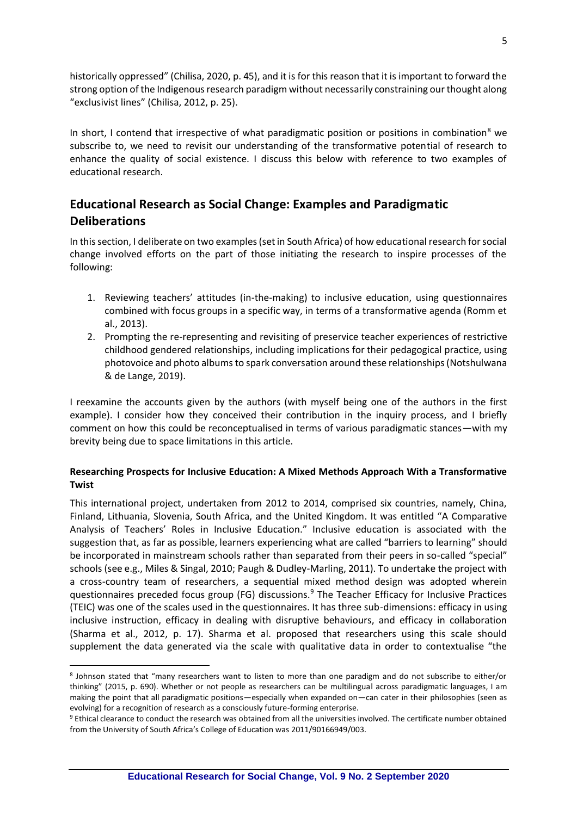historically oppressed" (Chilisa, 2020, p. 45), and it is for this reason that it is important to forward the strong option of the Indigenous research paradigm without necessarily constraining our thought along "exclusivist lines" (Chilisa, 2012, p. 25).

In short, I contend that irrespective of what paradigmatic position or positions in combination<sup>8</sup> we subscribe to, we need to revisit our understanding of the transformative potential of research to enhance the quality of social existence. I discuss this below with reference to two examples of educational research.

# **Educational Research as Social Change: Examples and Paradigmatic Deliberations**

In this section, I deliberate on two examples (set in South Africa) of how educational research for social change involved efforts on the part of those initiating the research to inspire processes of the following:

- 1. Reviewing teachers' attitudes (in-the-making) to inclusive education, using questionnaires combined with focus groups in a specific way, in terms of a transformative agenda (Romm et al., 2013).
- 2. Prompting the re-representing and revisiting of preservice teacher experiences of restrictive childhood gendered relationships, including implications for their pedagogical practice, using photovoice and photo albums to spark conversation around these relationships (Notshulwana & de Lange, 2019).

I reexamine the accounts given by the authors (with myself being one of the authors in the first example). I consider how they conceived their contribution in the inquiry process, and I briefly comment on how this could be reconceptualised in terms of various paradigmatic stances—with my brevity being due to space limitations in this article.

## **Researching Prospects for Inclusive Education: A Mixed Methods Approach With a Transformative Twist**

This international project, undertaken from 2012 to 2014, comprised six countries, namely, China, Finland, Lithuania, Slovenia, South Africa, and the United Kingdom. It was entitled "A Comparative Analysis of Teachers' Roles in Inclusive Education." Inclusive education is associated with the suggestion that, as far as possible, learners experiencing what are called "barriers to learning" should be incorporated in mainstream schools rather than separated from their peers in so-called "special" schools (see e.g., Miles & Singal, 2010; Paugh & Dudley-Marling, 2011). To undertake the project with a cross-country team of researchers, a sequential mixed method design was adopted wherein questionnaires preceded focus group (FG) discussions.<sup>9</sup> The Teacher Efficacy for Inclusive Practices (TEIC) was one of the scales used in the questionnaires. It has three sub-dimensions: efficacy in using inclusive instruction, efficacy in dealing with disruptive behaviours, and efficacy in collaboration (Sharma et al., 2012, p. 17). Sharma et al. proposed that researchers using this scale should supplement the data generated via the scale with qualitative data in order to contextualise "the

<sup>8</sup> Johnson stated that "many researchers want to listen to more than one paradigm and do not subscribe to either/or thinking" (2015, p. 690). Whether or not people as researchers can be multilingual across paradigmatic languages, I am making the point that all paradigmatic positions—especially when expanded on—can cater in their philosophies (seen as evolving) for a recognition of research as a consciously future-forming enterprise.

<sup>9</sup> Ethical clearance to conduct the research was obtained from all the universities involved. The certificate number obtained from the University of South Africa's College of Education was 2011/90166949/003.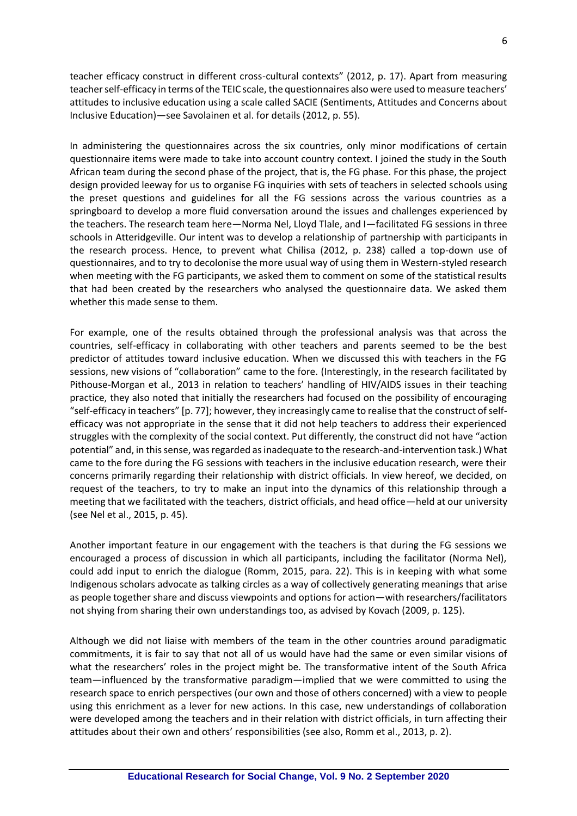teacher efficacy construct in different cross-cultural contexts" (2012, p. 17). Apart from measuring teacher self-efficacy in terms of the TEIC scale, the questionnaires also were used to measure teachers' attitudes to inclusive education using a scale called SACIE (Sentiments, Attitudes and Concerns about Inclusive Education)—see Savolainen et al. for details (2012, p. 55).

In administering the questionnaires across the six countries, only minor modifications of certain questionnaire items were made to take into account country context. I joined the study in the South African team during the second phase of the project, that is, the FG phase. For this phase, the project design provided leeway for us to organise FG inquiries with sets of teachers in selected schools using the preset questions and guidelines for all the FG sessions across the various countries as a springboard to develop a more fluid conversation around the issues and challenges experienced by the teachers. The research team here—Norma Nel, Lloyd Tlale, and I—facilitated FG sessions in three schools in Atteridgeville. Our intent was to develop a relationship of partnership with participants in the research process. Hence, to prevent what Chilisa (2012, p. 238) called a top-down use of questionnaires, and to try to decolonise the more usual way of using them in Western-styled research when meeting with the FG participants, we asked them to comment on some of the statistical results that had been created by the researchers who analysed the questionnaire data. We asked them whether this made sense to them.

For example, one of the results obtained through the professional analysis was that across the countries, self-efficacy in collaborating with other teachers and parents seemed to be the best predictor of attitudes toward inclusive education. When we discussed this with teachers in the FG sessions, new visions of "collaboration" came to the fore. (Interestingly, in the research facilitated by Pithouse-Morgan et al., 2013 in relation to teachers' handling of HIV/AIDS issues in their teaching practice, they also noted that initially the researchers had focused on the possibility of encouraging "self-efficacy in teachers" [p. 77]; however, they increasingly came to realise that the construct of selfefficacy was not appropriate in the sense that it did not help teachers to address their experienced struggles with the complexity of the social context. Put differently, the construct did not have "action potential" and, in this sense, was regarded as inadequate to the research-and-intervention task.) What came to the fore during the FG sessions with teachers in the inclusive education research, were their concerns primarily regarding their relationship with district officials*.* In view hereof, we decided, on request of the teachers, to try to make an input into the dynamics of this relationship through a meeting that we facilitated with the teachers, district officials, and head office—held at our university (see Nel et al., 2015, p. 45).

Another important feature in our engagement with the teachers is that during the FG sessions we encouraged a process of discussion in which all participants, including the facilitator (Norma Nel), could add input to enrich the dialogue (Romm, 2015, para. 22). This is in keeping with what some Indigenous scholars advocate as talking circles as a way of collectively generating meanings that arise as people together share and discuss viewpoints and options for action—with researchers/facilitators not shying from sharing their own understandings too, as advised by Kovach (2009, p. 125).

Although we did not liaise with members of the team in the other countries around paradigmatic commitments, it is fair to say that not all of us would have had the same or even similar visions of what the researchers' roles in the project might be. The transformative intent of the South Africa team—influenced by the transformative paradigm—implied that we were committed to using the research space to enrich perspectives (our own and those of others concerned) with a view to people using this enrichment as a lever for new actions. In this case, new understandings of collaboration were developed among the teachers and in their relation with district officials, in turn affecting their attitudes about their own and others' responsibilities (see also, Romm et al., 2013, p. 2).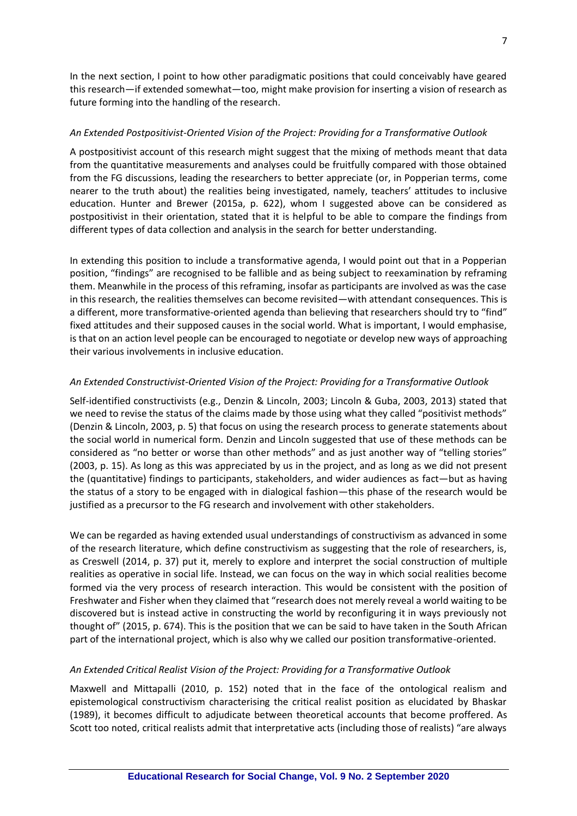In the next section, I point to how other paradigmatic positions that could conceivably have geared this research—if extended somewhat—too, might make provision for inserting a vision of research as future forming into the handling of the research.

### *An Extended Postpositivist-Oriented Vision of the Project: Providing for a Transformative Outlook*

A postpositivist account of this research might suggest that the mixing of methods meant that data from the quantitative measurements and analyses could be fruitfully compared with those obtained from the FG discussions, leading the researchers to better appreciate (or, in Popperian terms, come nearer to the truth about) the realities being investigated, namely, teachers' attitudes to inclusive education. Hunter and Brewer (2015a, p. 622), whom I suggested above can be considered as postpositivist in their orientation, stated that it is helpful to be able to compare the findings from different types of data collection and analysis in the search for better understanding.

In extending this position to include a transformative agenda, I would point out that in a Popperian position, "findings" are recognised to be fallible and as being subject to reexamination by reframing them. Meanwhile in the process of this reframing, insofar as participants are involved as was the case in this research, the realities themselves can become revisited—with attendant consequences. This is a different, more transformative-oriented agenda than believing that researchers should try to "find" fixed attitudes and their supposed causes in the social world. What is important, I would emphasise, is that on an action level people can be encouraged to negotiate or develop new ways of approaching their various involvements in inclusive education.

### *An Extended Constructivist-Oriented Vision of the Project: Providing for a Transformative Outlook*

Self-identified constructivists (e.g., Denzin & Lincoln, 2003; Lincoln & Guba, 2003, 2013) stated that we need to revise the status of the claims made by those using what they called "positivist methods" (Denzin & Lincoln, 2003, p. 5) that focus on using the research process to generate statements about the social world in numerical form. Denzin and Lincoln suggested that use of these methods can be considered as "no better or worse than other methods" and as just another way of "telling stories" (2003, p. 15). As long as this was appreciated by us in the project, and as long as we did not present the (quantitative) findings to participants, stakeholders, and wider audiences as fact—but as having the status of a story to be engaged with in dialogical fashion—this phase of the research would be justified as a precursor to the FG research and involvement with other stakeholders.

We can be regarded as having extended usual understandings of constructivism as advanced in some of the research literature, which define constructivism as suggesting that the role of researchers, is, as Creswell (2014, p. 37) put it, merely to explore and interpret the social construction of multiple realities as operative in social life. Instead, we can focus on the way in which social realities become formed via the very process of research interaction. This would be consistent with the position of Freshwater and Fisher when they claimed that "research does not merely reveal a world waiting to be discovered but is instead active in constructing the world by reconfiguring it in ways previously not thought of" (2015, p. 674). This is the position that we can be said to have taken in the South African part of the international project, which is also why we called our position transformative-oriented.

#### *An Extended Critical Realist Vision of the Project: Providing for a Transformative Outlook*

Maxwell and Mittapalli (2010, p. 152) noted that in the face of the ontological realism and epistemological constructivism characterising the critical realist position as elucidated by Bhaskar (1989), it becomes difficult to adjudicate between theoretical accounts that become proffered. As Scott too noted, critical realists admit that interpretative acts (including those of realists) "are always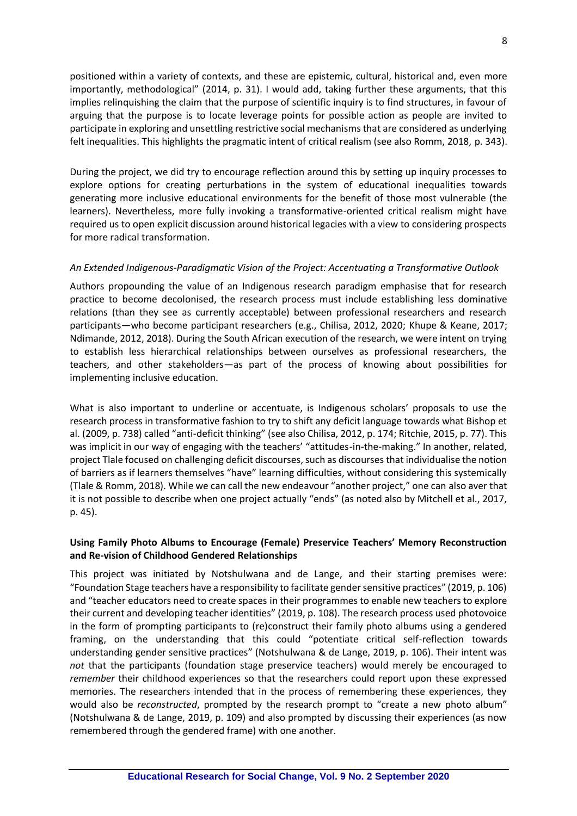positioned within a variety of contexts, and these are epistemic, cultural, historical and, even more importantly, methodological" (2014, p. 31). I would add, taking further these arguments, that this implies relinquishing the claim that the purpose of scientific inquiry is to find structures, in favour of arguing that the purpose is to locate leverage points for possible action as people are invited to participate in exploring and unsettling restrictive social mechanisms that are considered as underlying felt inequalities. This highlights the pragmatic intent of critical realism (see also Romm, 2018, p. 343).

During the project, we did try to encourage reflection around this by setting up inquiry processes to explore options for creating perturbations in the system of educational inequalities towards generating more inclusive educational environments for the benefit of those most vulnerable (the learners). Nevertheless, more fully invoking a transformative-oriented critical realism might have required us to open explicit discussion around historical legacies with a view to considering prospects for more radical transformation.

#### *An Extended Indigenous-Paradigmatic Vision of the Project: Accentuating a Transformative Outlook*

Authors propounding the value of an Indigenous research paradigm emphasise that for research practice to become decolonised, the research process must include establishing less dominative relations (than they see as currently acceptable) between professional researchers and research participants—who become participant researchers (e.g., Chilisa, 2012, 2020; Khupe & Keane, 2017; Ndimande, 2012, 2018). During the South African execution of the research, we were intent on trying to establish less hierarchical relationships between ourselves as professional researchers, the teachers, and other stakeholders—as part of the process of knowing about possibilities for implementing inclusive education.

What is also important to underline or accentuate, is Indigenous scholars' proposals to use the research process in transformative fashion to try to shift any deficit language towards what Bishop et al. (2009, p. 738) called "anti-deficit thinking" (see also Chilisa, 2012, p. 174; Ritchie, 2015, p. 77). This was implicit in our way of engaging with the teachers' "attitudes-in-the-making." In another, related, project Tlale focused on challenging deficit discourses, such as discourses that individualise the notion of barriers as if learners themselves "have" learning difficulties, without considering this systemically (Tlale & Romm, 2018). While we can call the new endeavour "another project," one can also aver that it is not possible to describe when one project actually "ends" (as noted also by Mitchell et al., 2017, p. 45).

### **Using Family Photo Albums to Encourage (Female) Preservice Teachers' Memory Reconstruction and Re-vision of Childhood Gendered Relationships**

This project was initiated by Notshulwana and de Lange, and their starting premises were: "Foundation Stage teachers have a responsibility to facilitate gender sensitive practices" (2019, p. 106) and "teacher educators need to create spaces in their programmes to enable new teachers to explore their current and developing teacher identities" (2019, p. 108). The research process used photovoice in the form of prompting participants to (re)construct their family photo albums using a gendered framing, on the understanding that this could "potentiate critical self-reflection towards understanding gender sensitive practices" (Notshulwana & de Lange, 2019, p. 106). Their intent was *not* that the participants (foundation stage preservice teachers) would merely be encouraged to *remember* their childhood experiences so that the researchers could report upon these expressed memories. The researchers intended that in the process of remembering these experiences, they would also be *reconstructed*, prompted by the research prompt to "create a new photo album" (Notshulwana & de Lange, 2019, p. 109) and also prompted by discussing their experiences (as now remembered through the gendered frame) with one another.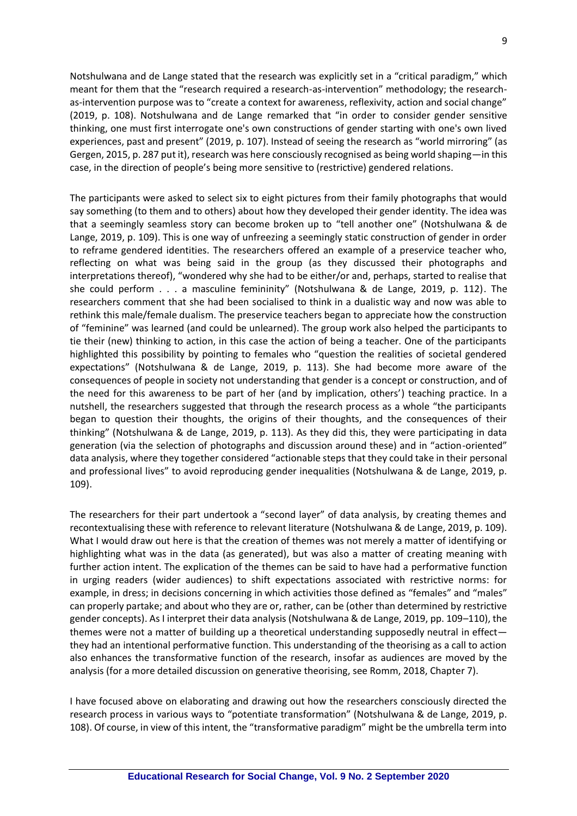Notshulwana and de Lange stated that the research was explicitly set in a "critical paradigm," which meant for them that the "research required a research-as-intervention" methodology; the researchas-intervention purpose was to "create a context for awareness, reflexivity, action and social change" (2019, p. 108). Notshulwana and de Lange remarked that "in order to consider gender sensitive thinking, one must first interrogate one's own constructions of gender starting with one's own lived experiences, past and present" (2019, p. 107). Instead of seeing the research as "world mirroring" (as Gergen, 2015, p. 287 put it), research was here consciously recognised as being world shaping—in this case, in the direction of people's being more sensitive to (restrictive) gendered relations.

The participants were asked to select six to eight pictures from their family photographs that would say something (to them and to others) about how they developed their gender identity. The idea was that a seemingly seamless story can become broken up to "tell another one" (Notshulwana & de Lange, 2019, p. 109). This is one way of unfreezing a seemingly static construction of gender in order to reframe gendered identities. The researchers offered an example of a preservice teacher who, reflecting on what was being said in the group (as they discussed their photographs and interpretations thereof), "wondered why she had to be either/or and, perhaps, started to realise that she could perform . . . a masculine femininity" (Notshulwana & de Lange, 2019, p. 112). The researchers comment that she had been socialised to think in a dualistic way and now was able to rethink this male/female dualism. The preservice teachers began to appreciate how the construction of "feminine" was learned (and could be unlearned). The group work also helped the participants to tie their (new) thinking to action, in this case the action of being a teacher. One of the participants highlighted this possibility by pointing to females who "question the realities of societal gendered expectations" (Notshulwana & de Lange, 2019, p. 113). She had become more aware of the consequences of people in society not understanding that gender is a concept or construction, and of the need for this awareness to be part of her (and by implication, others') teaching practice. In a nutshell, the researchers suggested that through the research process as a whole "the participants began to question their thoughts, the origins of their thoughts, and the consequences of their thinking" (Notshulwana & de Lange, 2019, p. 113). As they did this, they were participating in data generation (via the selection of photographs and discussion around these) and in "action-oriented" data analysis, where they together considered "actionable steps that they could take in their personal and professional lives" to avoid reproducing gender inequalities (Notshulwana & de Lange, 2019, p. 109).

The researchers for their part undertook a "second layer" of data analysis, by creating themes and recontextualising these with reference to relevant literature (Notshulwana & de Lange, 2019, p. 109). What I would draw out here is that the creation of themes was not merely a matter of identifying or highlighting what was in the data (as generated), but was also a matter of creating meaning with further action intent. The explication of the themes can be said to have had a performative function in urging readers (wider audiences) to shift expectations associated with restrictive norms: for example, in dress; in decisions concerning in which activities those defined as "females" and "males" can properly partake; and about who they are or, rather, can be (other than determined by restrictive gender concepts). As I interpret their data analysis (Notshulwana & de Lange, 2019, pp. 109–110), the themes were not a matter of building up a theoretical understanding supposedly neutral in effect they had an intentional performative function. This understanding of the theorising as a call to action also enhances the transformative function of the research, insofar as audiences are moved by the analysis (for a more detailed discussion on generative theorising, see Romm, 2018, Chapter 7).

I have focused above on elaborating and drawing out how the researchers consciously directed the research process in various ways to "potentiate transformation" (Notshulwana & de Lange, 2019, p. 108). Of course, in view of this intent, the "transformative paradigm" might be the umbrella term into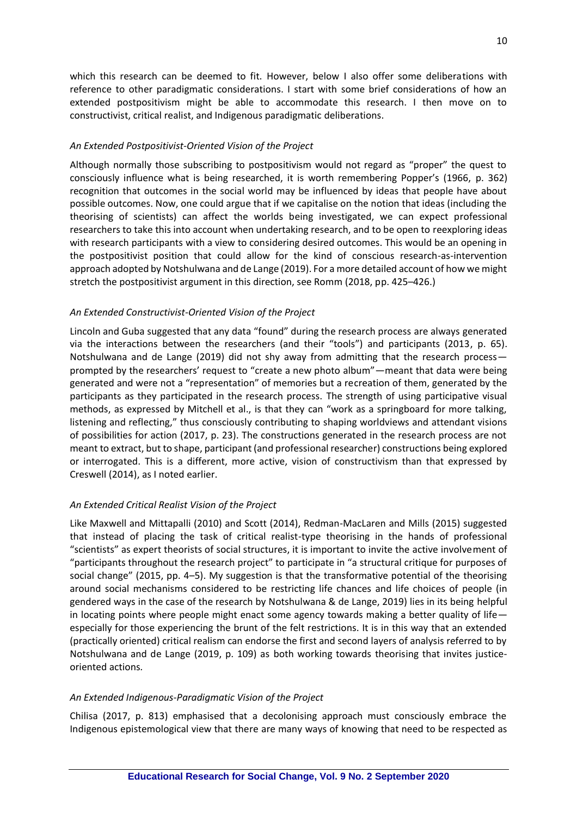which this research can be deemed to fit. However, below I also offer some deliberations with reference to other paradigmatic considerations. I start with some brief considerations of how an extended postpositivism might be able to accommodate this research. I then move on to constructivist, critical realist, and Indigenous paradigmatic deliberations.

#### *An Extended Postpositivist-Oriented Vision of the Project*

Although normally those subscribing to postpositivism would not regard as "proper" the quest to consciously influence what is being researched, it is worth remembering Popper's (1966, p. 362) recognition that outcomes in the social world may be influenced by ideas that people have about possible outcomes. Now, one could argue that if we capitalise on the notion that ideas (including the theorising of scientists) can affect the worlds being investigated, we can expect professional researchers to take this into account when undertaking research, and to be open to reexploring ideas with research participants with a view to considering desired outcomes. This would be an opening in the postpositivist position that could allow for the kind of conscious research-as-intervention approach adopted by Notshulwana and de Lange (2019). For a more detailed account of how we might stretch the postpositivist argument in this direction, see Romm (2018, pp. 425–426.)

### *An Extended Constructivist-Oriented Vision of the Project*

Lincoln and Guba suggested that any data "found" during the research process are always generated via the interactions between the researchers (and their "tools") and participants (2013, p. 65). Notshulwana and de Lange (2019) did not shy away from admitting that the research process prompted by the researchers' request to "create a new photo album"—meant that data were being generated and were not a "representation" of memories but a recreation of them, generated by the participants as they participated in the research process. The strength of using participative visual methods, as expressed by Mitchell et al., is that they can "work as a springboard for more talking, listening and reflecting," thus consciously contributing to shaping worldviews and attendant visions of possibilities for action (2017, p. 23). The constructions generated in the research process are not meant to extract, but to shape, participant (and professional researcher) constructions being explored or interrogated. This is a different, more active, vision of constructivism than that expressed by Creswell (2014), as I noted earlier.

#### *An Extended Critical Realist Vision of the Project*

Like Maxwell and Mittapalli (2010) and Scott (2014), Redman-MacLaren and Mills (2015) suggested that instead of placing the task of critical realist-type theorising in the hands of professional "scientists" as expert theorists of social structures, it is important to invite the active involvement of "participants throughout the research project" to participate in "a structural critique for purposes of social change" (2015, pp. 4–5). My suggestion is that the transformative potential of the theorising around social mechanisms considered to be restricting life chances and life choices of people (in gendered ways in the case of the research by Notshulwana & de Lange, 2019) lies in its being helpful in locating points where people might enact some agency towards making a better quality of life especially for those experiencing the brunt of the felt restrictions. It is in this way that an extended (practically oriented) critical realism can endorse the first and second layers of analysis referred to by Notshulwana and de Lange (2019, p. 109) as both working towards theorising that invites justiceoriented actions*.*

#### *An Extended Indigenous-Paradigmatic Vision of the Project*

Chilisa (2017, p. 813) emphasised that a decolonising approach must consciously embrace the Indigenous epistemological view that there are many ways of knowing that need to be respected as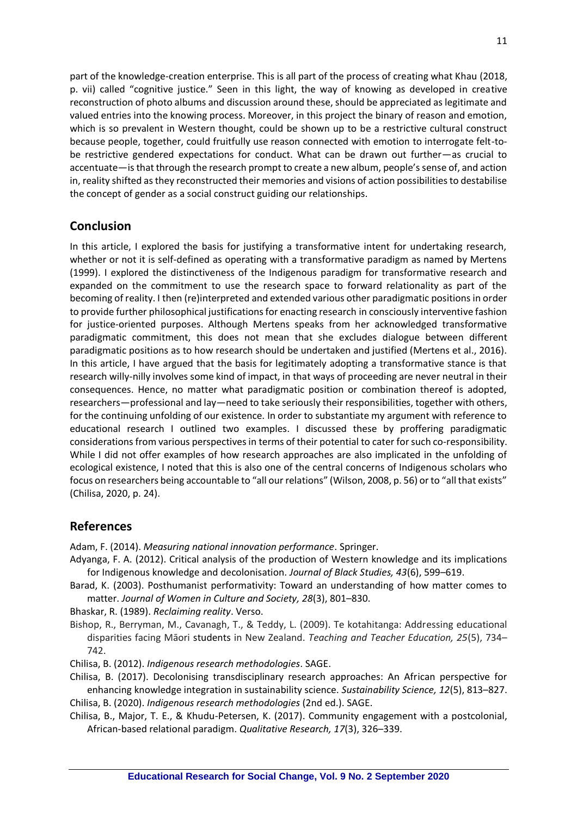part of the knowledge-creation enterprise. This is all part of the process of creating what Khau (2018, p. vii) called "cognitive justice." Seen in this light, the way of knowing as developed in creative reconstruction of photo albums and discussion around these, should be appreciated as legitimate and valued entries into the knowing process. Moreover, in this project the binary of reason and emotion, which is so prevalent in Western thought, could be shown up to be a restrictive cultural construct because people, together, could fruitfully use reason connected with emotion to interrogate felt-tobe restrictive gendered expectations for conduct. What can be drawn out further—as crucial to accentuate—isthat through the research prompt to create a new album, people's sense of, and action in, reality shifted as they reconstructed their memories and visions of action possibilities to destabilise the concept of gender as a social construct guiding our relationships.

# **Conclusion**

In this article, I explored the basis for justifying a transformative intent for undertaking research, whether or not it is self-defined as operating with a transformative paradigm as named by Mertens (1999). I explored the distinctiveness of the Indigenous paradigm for transformative research and expanded on the commitment to use the research space to forward relationality as part of the becoming of reality. I then (re)interpreted and extended various other paradigmatic positions in order to provide further philosophical justifications for enacting research in consciously interventive fashion for justice-oriented purposes. Although Mertens speaks from her acknowledged transformative paradigmatic commitment, this does not mean that she excludes dialogue between different paradigmatic positions as to how research should be undertaken and justified (Mertens et al., 2016). In this article, I have argued that the basis for legitimately adopting a transformative stance is that research willy-nilly involves some kind of impact, in that ways of proceeding are never neutral in their consequences. Hence, no matter what paradigmatic position or combination thereof is adopted, researchers—professional and lay—need to take seriously their responsibilities, together with others, for the continuing unfolding of our existence. In order to substantiate my argument with reference to educational research I outlined two examples. I discussed these by proffering paradigmatic considerations from various perspectives in terms of their potential to cater for such co-responsibility. While I did not offer examples of how research approaches are also implicated in the unfolding of ecological existence, I noted that this is also one of the central concerns of Indigenous scholars who focus on researchers being accountable to "all our relations" (Wilson, 2008, p. 56) or to "all that exists" (Chilisa, 2020, p. 24).

## **References**

Adam, F. (2014). *Measuring national innovation performance*. Springer.

- Adyanga, F. A. (2012). Critical analysis of the production of Western knowledge and its implications for Indigenous knowledge and decolonisation. *Journal of Black Studies, 43*(6), 599–619.
- Barad, K. (2003). Posthumanist performativity: Toward an understanding of how matter comes to matter. *Journal of Women in Culture and Society, 28*(3), 801–830.

Bhaskar, R. (1989). *Reclaiming reality*. Verso.

- Bishop, R., Berryman, M., Cavanagh, T., & Teddy, L. (2009). Te kotahitanga: Addressing educational disparities facing Māori students in New Zealand. *Teaching and Teacher Education, 25*(5), 734– 742.
- Chilisa, B. (2012). *Indigenous research methodologies*. SAGE.
- Chilisa, B. (2017). Decolonising transdisciplinary research approaches: An African perspective for enhancing knowledge integration in sustainability science. *Sustainability Science, 12*(5), 813–827.

Chilisa, B. (2020). *Indigenous research methodologies* (2nd ed.). SAGE.

Chilisa, B., Major, T. E., & Khudu-Petersen, K. (2017). Community engagement with a postcolonial, African-based relational paradigm. *Qualitative Research, 17*(3), 326–339.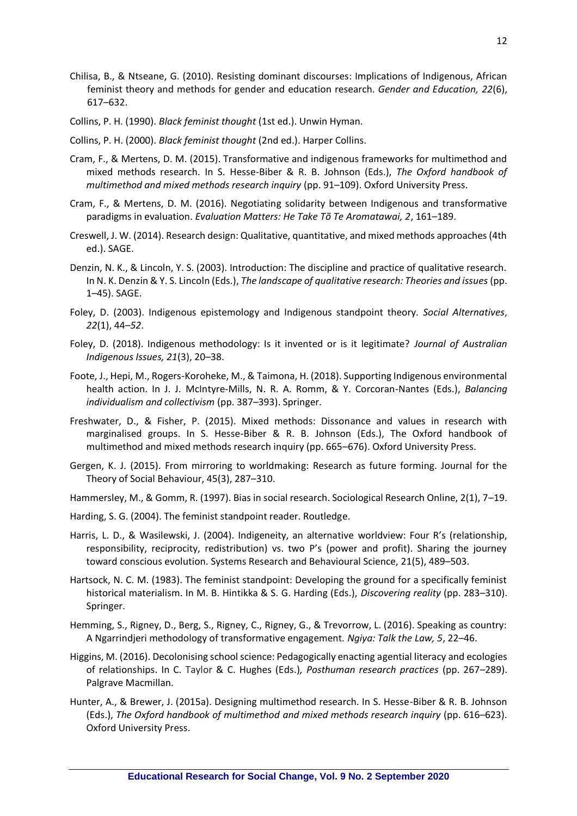- Chilisa, B., & Ntseane, G. (2010). Resisting dominant discourses: Implications of Indigenous, African feminist theory and methods for gender and education research. *Gender and Education, 22*(6), 617–632.
- Collins, P. H. (1990). *Black feminist thought* (1st ed.). Unwin Hyman.
- Collins, P. H. (2000). *Black feminist thought* (2nd ed.). Harper Collins.
- Cram, F., & Mertens, D. M. (2015). Transformative and indigenous frameworks for multimethod and mixed methods research. In S. Hesse-Biber & R. B. Johnson (Eds.), *The Oxford handbook of multimethod and mixed methods research inquiry* (pp. 91–109). Oxford University Press.
- Cram, F., & Mertens, D. M. (2016). Negotiating solidarity between Indigenous and transformative paradigms in evaluation. *Evaluation Matters: He Take Tõ Te Aromatawai, 2*, 161–189.
- Creswell, J. W. (2014). Research design: Qualitative, quantitative, and mixed methods approaches (4th ed.). SAGE.
- Denzin, N. K., & Lincoln, Y. S. (2003). Introduction: The discipline and practice of qualitative research. In N. K. Denzin & Y. S. Lincoln (Eds.), *The landscape of qualitative research: Theories and issues* (pp. 1–45). SAGE.
- Foley, D. (2003). Indigenous epistemology and Indigenous standpoint theory. *Social Alternatives*, *22*(1), 44–*52*.
- Foley, D. (2018). Indigenous methodology: Is it invented or is it legitimate? *Journal of Australian Indigenous Issues, 21*(3), 20–38.
- Foote, J., Hepi, M., Rogers-Koroheke, M., & Taimona, H. (2018). Supporting Indigenous environmental health action. In J. J. McIntyre-Mills, N. R. A. Romm, & Y. Corcoran-Nantes (Eds.), *Balancing individualism and collectivism* (pp. 387–393). Springer.
- Freshwater, D., & Fisher, P. (2015). Mixed methods: Dissonance and values in research with marginalised groups. In S. Hesse-Biber & R. B. Johnson (Eds.), The Oxford handbook of multimethod and mixed methods research inquiry (pp. 665–676). Oxford University Press.
- Gergen, K. J. (2015). From mirroring to worldmaking: Research as future forming. Journal for the Theory of Social Behaviour, 45(3), 287–310.
- Hammersley, M., & Gomm, R. (1997). Bias in social research. Sociological Research Online, 2(1), 7–19.
- Harding, S. G. (2004). The feminist standpoint reader. Routledge.
- Harris, L. D., & Wasilewski, J. (2004). Indigeneity, an alternative worldview: Four R's (relationship, responsibility, reciprocity, redistribution) vs. two P's (power and profit). Sharing the journey toward conscious evolution. Systems Research and Behavioural Science, 21(5), 489–503.
- Hartsock, N. C. M. (1983). The feminist standpoint: Developing the ground for a specifically feminist historical materialism. In M. B. Hintikka & S. G. Harding (Eds.), *Discovering reality* (pp. 283–310). Springer.
- Hemming, S., Rigney, D., Berg, S., Rigney, C., Rigney, G., & Trevorrow, L. (2016). Speaking as country: A Ngarrindjeri methodology of transformative engagement. *Ngiya: Talk the Law, 5*, 22–46.
- Higgins, M. (2016). Decolonising school science: Pedagogically enacting agential literacy and ecologies of relationships. In C. Taylor & C. Hughes (Eds.)*, Posthuman research practices* (pp. 267–289). Palgrave Macmillan.
- Hunter, A., & Brewer, J. (2015a). Designing multimethod research. In S. Hesse-Biber & R. B. Johnson (Eds.), *The Oxford handbook of multimethod and mixed methods research inquiry* (pp. 616–623). Oxford University Press.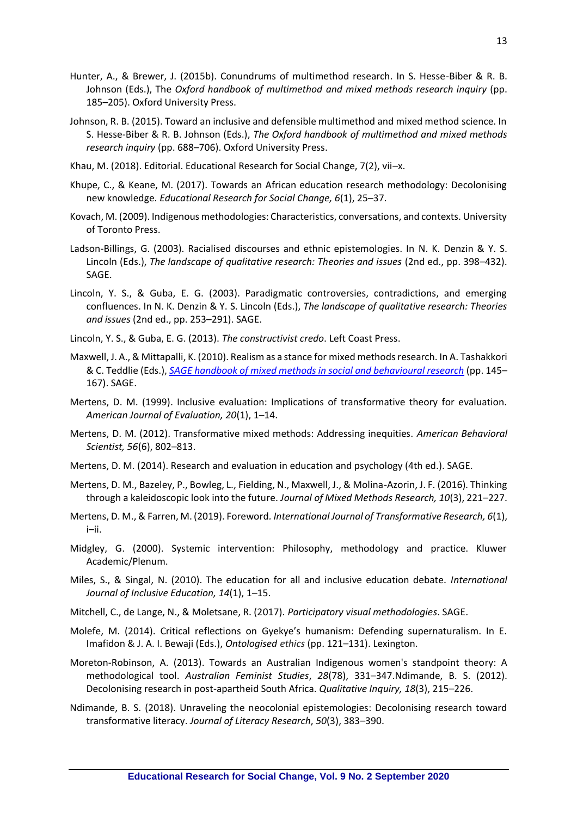- Hunter, A., & Brewer, J. (2015b). Conundrums of multimethod research. In S. Hesse-Biber & R. B. Johnson (Eds.), The *Oxford handbook of multimethod and mixed methods research inquiry* (pp. 185–205). Oxford University Press.
- Johnson, R. B. (2015). Toward an inclusive and defensible multimethod and mixed method science. In S. Hesse-Biber & R. B. Johnson (Eds.), *The Oxford handbook of multimethod and mixed methods research inquiry* (pp. 688–706). Oxford University Press.
- Khau, M. (2018). Editorial. Educational Research for Social Change, 7(2), vii–x.
- Khupe, C., & Keane, M. (2017). Towards an African education research methodology: Decolonising new knowledge. *Educational Research for Social Change, 6*(1), 25–37.
- Kovach, M. (2009). Indigenous methodologies: Characteristics, conversations, and contexts. University of Toronto Press.
- Ladson-Billings, G. (2003). Racialised discourses and ethnic epistemologies. In N. K. Denzin & Y. S. Lincoln (Eds.), *The landscape of qualitative research: Theories and issues* (2nd ed., pp. 398–432). SAGE.
- Lincoln, Y. S., & Guba, E. G. (2003). Paradigmatic controversies, contradictions, and emerging confluences. In N. K. Denzin & Y. S. Lincoln (Eds.), *The landscape of qualitative research: Theories and issues* (2nd ed., pp. 253–291). SAGE.
- Lincoln, Y. S., & Guba, E. G. (2013). *The constructivist credo*. Left Coast Press.
- Maxwell, J. A., & Mittapalli, K. (2010). Realism as a stance for mixed methods research. In A. Tashakkori & C. Teddlie (Eds.), *[SAGE handbook of mixed methods in social and behavioural research](http://methods.sagepub.com/Book/sage-handbook-of-mixed-methods-social-behavioral-research-2e)* (pp. 145– 167). SAGE.
- Mertens, D. M. (1999). Inclusive evaluation: Implications of transformative theory for evaluation. *American Journal of Evaluation, 20*(1), 1–14.
- Mertens, D. M. (2012). Transformative mixed methods: Addressing inequities. *American Behavioral Scientist, 56*(6), 802–813.
- Mertens, D. M. (2014). Research and evaluation in education and psychology (4th ed.). SAGE.
- Mertens, D. M., Bazeley, P., Bowleg, L., Fielding, N., Maxwell, J., & Molina-Azorin, J. F. (2016). Thinking through a kaleidoscopic look into the future. *Journal of Mixed Methods Research, 10*(3), 221–227.
- Mertens, D. M., & Farren, M. (2019). Foreword*. International Journal of Transformative Research, 6*(1), i–ii.
- Midgley, G. (2000). Systemic intervention: Philosophy, methodology and practice. Kluwer Academic/Plenum.
- Miles, S., & Singal, N. (2010). The education for all and inclusive education debate. *International Journal of Inclusive Education, 14*(1), 1–15.
- Mitchell, C., de Lange, N., & Moletsane, R. (2017). *Participatory visual methodologies*. SAGE.
- Molefe, M. (2014). Critical reflections on Gyekye's humanism: Defending supernaturalism. In E. Imafidon & J. A. I. Bewaji (Eds.), *Ontologised ethics* (pp. 121–131). Lexington.
- Moreton-Robinson, A. (2013). Towards an Australian Indigenous women's standpoint theory: A methodological tool. *Australian Feminist Studies*, *28*(78), 331–347.Ndimande, B. S. (2012). Decolonising research in post-apartheid South Africa. *Qualitative Inquiry, 18*(3), 215–226.
- Ndimande, B. S. (2018). Unraveling the neocolonial epistemologies: Decolonising research toward transformative literacy. *Journal of Literacy Research*, *50*(3), 383–390.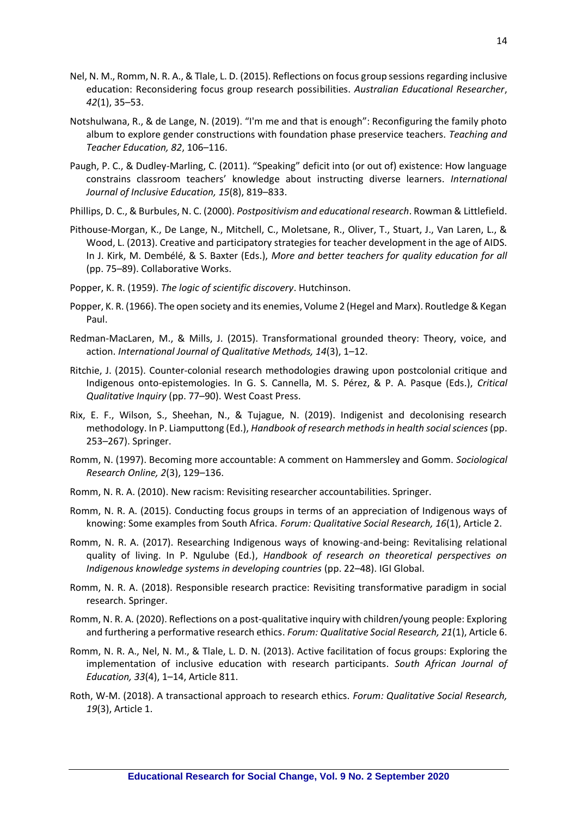- Nel, N. M., Romm, N. R. A., & Tlale, L. D. (2015). Reflections on focus group sessions regarding inclusive education: Reconsidering focus group research possibilities. *Australian Educational Researcher*, *42*(1), 35–53.
- Notshulwana, R., & de Lange, N. (2019). "I'm me and that is enough": Reconfiguring the family photo album to explore gender constructions with foundation phase preservice teachers. *Teaching and Teacher Education, 82*, 106–116.
- Paugh, P. C., & Dudley-Marling, C. (2011). "Speaking" deficit into (or out of) existence: How language constrains classroom teachers' knowledge about instructing diverse learners. *International Journal of Inclusive Education, 15*(8), 819–833.
- Phillips, D. C., & Burbules, N. C. (2000). *Postpositivism and educational research*. Rowman & Littlefield.
- Pithouse-Morgan, K., De Lange, N., Mitchell, C., Moletsane, R., Oliver, T., Stuart, J., Van Laren, L., & Wood, L. (2013). Creative and participatory strategies for teacher development in the age of AIDS. In J. Kirk, M. Dembélé, & S. Baxter (Eds.), *More and better teachers for quality education for all* (pp. 75–89). Collaborative Works.
- Popper, K. R. (1959). *The logic of scientific discovery*. Hutchinson.
- Popper, K. R. (1966). The open society and its enemies, Volume 2 (Hegel and Marx). Routledge & Kegan Paul.
- Redman-MacLaren, M., & Mills, J. (2015). Transformational grounded theory: Theory, voice, and action. *International Journal of Qualitative Methods, 14*(3), 1–12.
- Ritchie, J. (2015). Counter-colonial research methodologies drawing upon postcolonial critique and Indigenous onto-epistemologies. In G. S. Cannella, M. S. Pérez, & P. A. Pasque (Eds.), *Critical Qualitative Inquiry* (pp. 77–90). West Coast Press.
- Rix, E. F., Wilson, S., Sheehan, N., & Tujague, N. (2019). Indigenist and decolonising research methodology. In P. Liamputtong (Ed.), *Handbook of research methods in health social sciences* (pp. 253–267). Springer.
- Romm, N. (1997). Becoming more accountable: A comment on Hammersley and Gomm. *Sociological Research Online, 2*(3), 129–136.
- Romm, N. R. A. (2010). New racism: Revisiting researcher accountabilities. Springer.
- Romm, N. R. A. (2015). Conducting focus groups in terms of an appreciation of Indigenous ways of knowing: Some examples from South Africa. *Forum: Qualitative Social Research, 16*(1), Article 2.
- Romm, N. R. A. (2017). Researching Indigenous ways of knowing-and-being: Revitalising relational quality of living. In P. Ngulube (Ed.), *Handbook of research on theoretical perspectives on Indigenous knowledge systems in developing countries* (pp. 22–48). IGI Global.
- Romm, N. R. A. (2018). Responsible research practice: Revisiting transformative paradigm in social research. Springer.
- Romm, N. R. A. (2020). Reflections on a post-qualitative inquiry with children/young people: Exploring and furthering a performative research ethics. *Forum: Qualitative Social Research, 21*(1), Article 6.
- Romm, N. R. A., Nel, N. M., & Tlale, L. D. N. (2013). Active facilitation of focus groups: Exploring the implementation of inclusive education with research participants. *South African Journal of Education, 33*(4), 1–14, Article 811.
- Roth, W-M. (2018). A transactional approach to research ethics. *Forum: Qualitative Social Research, 19*(3), Article 1.